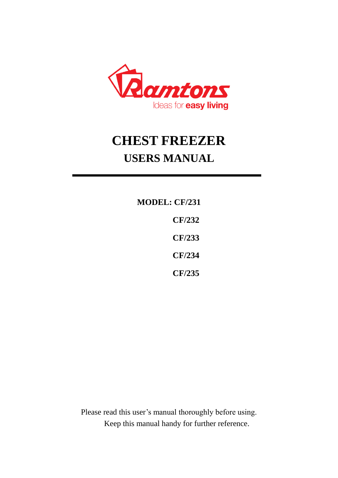

# **CHEST FREEZER USERS MANUAL**

**MODEL: CF/231 CF/232 CF/233 CF/234 CF/235**

Please read this user's manual thoroughly before using. Keep this manual handy for further reference.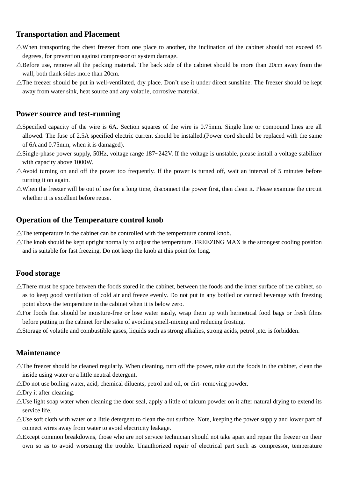### **Transportation and Placement**

- $\triangle$ When transporting the chest freezer from one place to another, the inclination of the cabinet should not exceed 45 degrees, for prevention against compressor or system damage.
- $\triangle$ Before use, remove all the packing material. The back side of the cabinet should be more than 20cm away from the wall, both flank sides more than 20cm.
- $\triangle$ The freezer should be put in well-ventilated, dry place. Don't use it under direct sunshine. The freezer should be kept away from water sink, heat source and any volatile, corrosive material.

#### **Power source and test-running**

- $\triangle$ Specified capacity of the wire is 6A. Section squares of the wire is 0.75mm. Single line or compound lines are all allowed. The fuse of 2.5A specified electric current should be installed.(Power cord should be replaced with the same of 6A and 0.75mm, when it is damaged).
- $\triangle$ Single-phase power supply, 50Hz, voltage range 187~242V. If the voltage is unstable, please install a voltage stabilizer with capacity above 1000W.
- $\triangle$ Avoid turning on and off the power too frequently. If the power is turned off, wait an interval of 5 minutes before turning it on again.
- $\triangle$ When the freezer will be out of use for a long time, disconnect the power first, then clean it. Please examine the circuit whether it is excellent before reuse.

#### **Operation of the Temperature control knob**

- $\triangle$ The temperature in the cabinet can be controlled with the temperature control knob.
- $\triangle$ The knob should be kept upright normally to adjust the temperature. FREEZING MAX is the strongest cooling position and is suitable for fast freezing. Do not keep the knob at this point for long.

#### **Food storage**

- $\triangle$ There must be space between the foods stored in the cabinet, between the foods and the inner surface of the cabinet, so as to keep good ventilation of cold air and freeze evenly. Do not put in any bottled or canned beverage with freezing point above the temperature in the cabinet when it is below zero.
- $\triangle$ For foods that should be moisture-free or lose water easily, wrap them up with hermetical food bags or fresh films before putting in the cabinet for the sake of avoiding smell-mixing and reducing frosting.
- $\triangle$ Storage of volatile and combustible gases, liquids such as strong alkalies, strong acids, petrol ,etc. is forbidden.

#### **Maintenance**

- $\triangle$ The freezer should be cleaned regularly. When cleaning, turn off the power, take out the foods in the cabinet, clean the inside using water or a little neutral detergent.
- $\triangle$ Do not use boiling water, acid, chemical diluents, petrol and oil, or dirt-removing powder.
- $\triangle$ Dry it after cleaning.
- $\triangle$ Use light soap water when cleaning the door seal, apply a little of talcum powder on it after natural drying to extend its service life.
- $\triangle$ Use soft cloth with water or a little detergent to clean the out surface. Note, keeping the power supply and lower part of connect wires away from water to avoid electricity leakage.
- $\triangle$ Except common breakdowns, those who are not service technician should not take apart and repair the freezer on their own so as to avoid worsening the trouble. Unauthorized repair of electrical part such as compressor, temperature